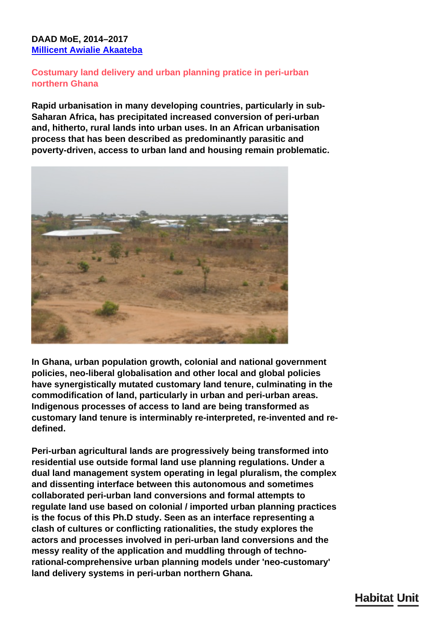## **DAAD MoE, 2014–2017 [Millicent Awialie Akaateba](/en/team/millicent-akaateba/)**

## **Costumary land delivery and urban planning pratice in peri-urban northern Ghana**

**Rapid urbanisation in many developing countries, particularly in sub-Saharan Africa, has precipitated increased conversion of peri-urban and, hitherto, rural lands into urban uses. In an African urbanisation process that has been described as predominantly parasitic and poverty-driven, access to urban land and housing remain problematic.**



**In Ghana, urban population growth, colonial and national government policies, neo-liberal globalisation and other local and global policies have synergistically mutated customary land tenure, culminating in the commodification of land, particularly in urban and peri-urban areas. Indigenous processes of access to land are being transformed as customary land tenure is interminably re-interpreted, re-invented and redefined.**

**Peri-urban agricultural lands are progressively being transformed into residential use outside formal land use planning regulations. Under a dual land management system operating in legal pluralism, the complex and dissenting interface between this autonomous and sometimes collaborated peri-urban land conversions and formal attempts to regulate land use based on colonial / imported urban planning practices is the focus of this Ph.D study. Seen as an interface representing a clash of cultures or conflicting rationalities, the study explores the actors and processes involved in peri-urban land conversions and the messy reality of the application and muddling through of technorational-comprehensive urban planning models under 'neo-customary' land delivery systems in peri-urban northern Ghana.**

## **Habitat Unit**